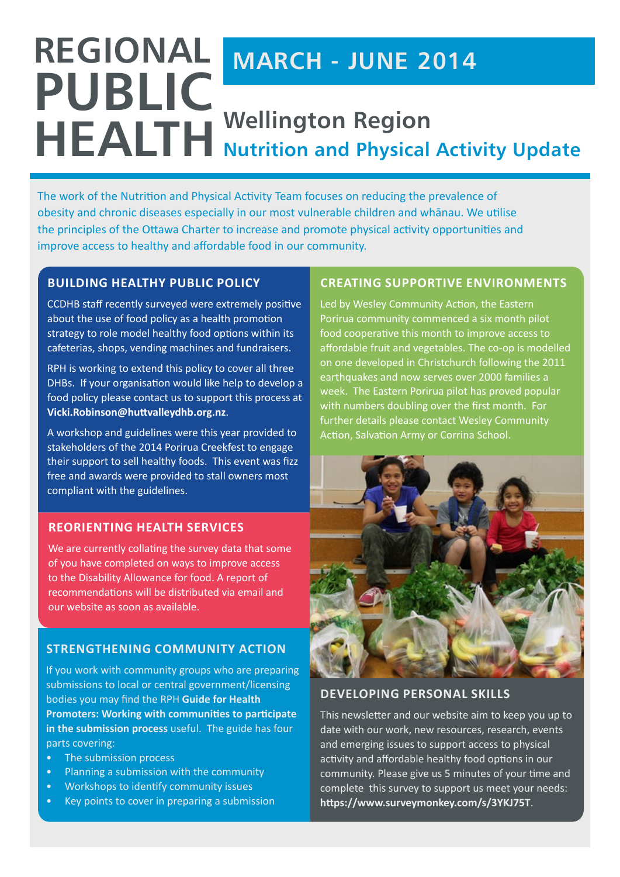## **REGIONAL PUBLIC HEALTH MARCH - JUNE 2014 Wellington Region Nutrition and Physical Activity Update**

The work of the Nutrition and Physical Activity Team focuses on reducing the prevalence of obesity and chronic diseases especially in our most vulnerable children and whānau. We utilise the principles of the Ottawa Charter to increase and promote physical activity opportunities and improve access to healthy and affordable food in our community.

### **Building Healthy Public Policy**

CCDHB staff recently surveyed were extremely positive about the use of food policy as a health promotion strategy to role model healthy food options within its cafeterias, shops, vending machines and fundraisers.

RPH is working to extend this policy to cover all three DHBs. If your organisation would like help to develop a food policy please contact us to support this process at **Vicki.Robinson@huttvalleydhb.org.nz**.

A workshop and guidelines were this year provided to stakeholders of the 2014 Porirua Creekfest to engage their support to sell healthy foods. This event was fizz free and awards were provided to stall owners most compliant with the guidelines.

#### **Reorienting Health Services**

We are currently collating the survey data that some of you have completed on ways to improve access to the Disability Allowance for food. A report of recommendations will be distributed via email and our website as soon as available.

## **[Strengthening Community Action](http://www.rph.org.nz/content/4678971e-6cc1-4aa9-b367-a334ff302a43.html)**

If you work with community groups who are preparing submissions to local or central government/licensing bodies you may find the RPH **[Guide for Health](http://www.rph.org.nz/content/998812a2-37c9-4a30-a3f5-997f971eaece.cmr)  [Promoters: Working with communities to participate](http://www.rph.org.nz/content/998812a2-37c9-4a30-a3f5-997f971eaece.cmr)  [in the submission process](http://www.rph.org.nz/content/998812a2-37c9-4a30-a3f5-997f971eaece.cmr)** useful. The guide has four parts covering:

- The submission process
- Planning a submission with the community
- Workshops to identify community issues
- Key points to cover in preparing a submission

## **Creating Supportive Environments**

Led by Wesley Community Action, the Eastern Porirua community commenced a six month pilot food cooperative this month to improve access to affordable fruit and vegetables. The co-op is modelled on one developed in Christchurch following the 2011 earthquakes and now serves over 2000 families a week. The Eastern Porirua pilot has proved popular with numbers doubling over the first month. For further details please contact Wesley Community Action, Salvation Army or Corrina School.



#### **Developing Personal Skills**

This newsletter and our website aim to keep you up to date with our work, new resources, research, events and emerging issues to support access to physical activity and affordable healthy food options in our community. Please give us 5 minutes of your time and complete this survey to support us meet your needs: **https://www.surveymonkey.com/s/3YKJ75T**.